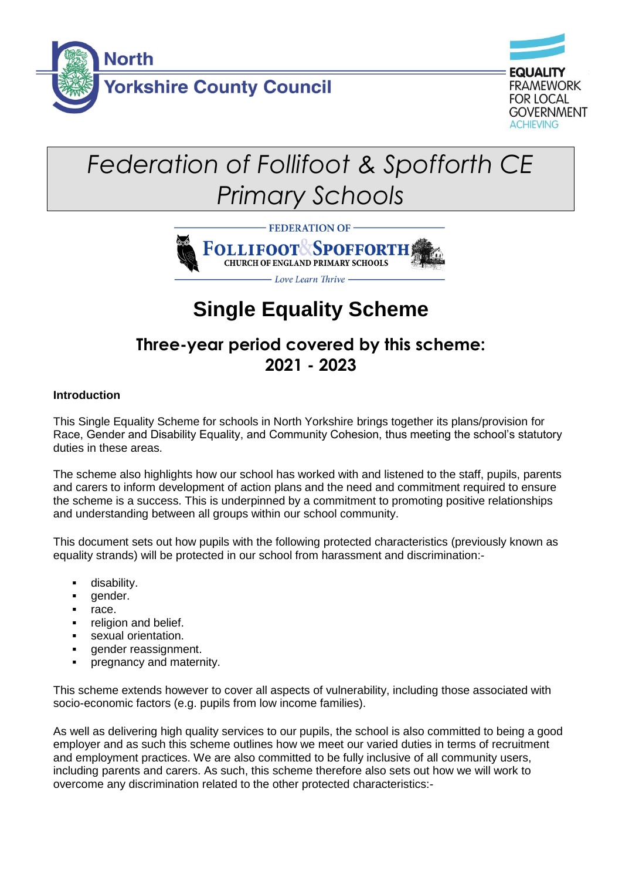



# *Federation of Follifoot & Spofforth CE Primary Schools*



## **Single Equality Scheme**

## **Three-year period covered by this scheme: 2021 - 2023**

## **Introduction**

This Single Equality Scheme for schools in North Yorkshire brings together its plans/provision for Race, Gender and Disability Equality, and Community Cohesion, thus meeting the school's statutory duties in these areas.

The scheme also highlights how our school has worked with and listened to the staff, pupils, parents and carers to inform development of action plans and the need and commitment required to ensure the scheme is a success. This is underpinned by a commitment to promoting positive relationships and understanding between all groups within our school community.

This document sets out how pupils with the following protected characteristics (previously known as equality strands) will be protected in our school from harassment and discrimination:-

- disability.
- gender.
- race.
- religion and belief.
- sexual orientation.
- gender reassignment.
- pregnancy and maternity.

This scheme extends however to cover all aspects of vulnerability, including those associated with socio-economic factors (e.g. pupils from low income families).

As well as delivering high quality services to our pupils, the school is also committed to being a good employer and as such this scheme outlines how we meet our varied duties in terms of recruitment and employment practices. We are also committed to be fully inclusive of all community users, including parents and carers. As such, this scheme therefore also sets out how we will work to overcome any discrimination related to the other protected characteristics:-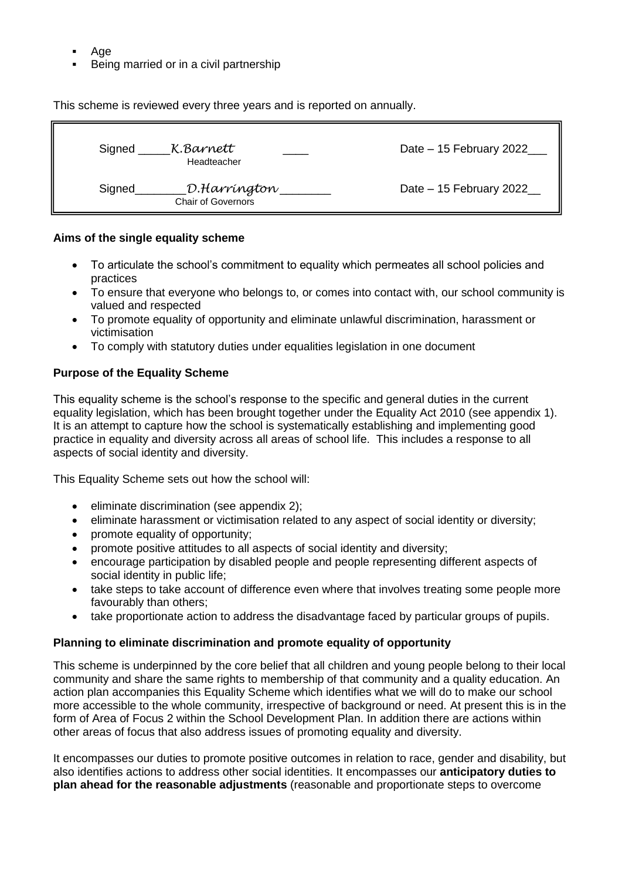- Age
- Being married or in a civil partnership

This scheme is reviewed every three years and is reported on annually.

| Signed | K.Barnett<br>Headteacher                  | Date - 15 February 2022 |
|--------|-------------------------------------------|-------------------------|
| Signed | D.Harríngton<br><b>Chair of Governors</b> | Date - 15 February 2022 |

#### **Aims of the single equality scheme**

- To articulate the school's commitment to equality which permeates all school policies and practices
- To ensure that everyone who belongs to, or comes into contact with, our school community is valued and respected
- To promote equality of opportunity and eliminate unlawful discrimination, harassment or victimisation
- To comply with statutory duties under equalities legislation in one document

#### **Purpose of the Equality Scheme**

This equality scheme is the school's response to the specific and general duties in the current equality legislation, which has been brought together under the Equality Act 2010 (see appendix 1). It is an attempt to capture how the school is systematically establishing and implementing good practice in equality and diversity across all areas of school life. This includes a response to all aspects of social identity and diversity.

This Equality Scheme sets out how the school will:

- eliminate discrimination (see appendix 2);
- eliminate harassment or victimisation related to any aspect of social identity or diversity;
- promote equality of opportunity;
- promote positive attitudes to all aspects of social identity and diversity;
- encourage participation by disabled people and people representing different aspects of social identity in public life;
- take steps to take account of difference even where that involves treating some people more favourably than others;
- take proportionate action to address the disadvantage faced by particular groups of pupils.

#### **Planning to eliminate discrimination and promote equality of opportunity**

This scheme is underpinned by the core belief that all children and young people belong to their local community and share the same rights to membership of that community and a quality education. An action plan accompanies this Equality Scheme which identifies what we will do to make our school more accessible to the whole community, irrespective of background or need. At present this is in the form of Area of Focus 2 within the School Development Plan. In addition there are actions within other areas of focus that also address issues of promoting equality and diversity.

It encompasses our duties to promote positive outcomes in relation to race, gender and disability, but also identifies actions to address other social identities. It encompasses our **anticipatory duties to plan ahead for the reasonable adjustments** (reasonable and proportionate steps to overcome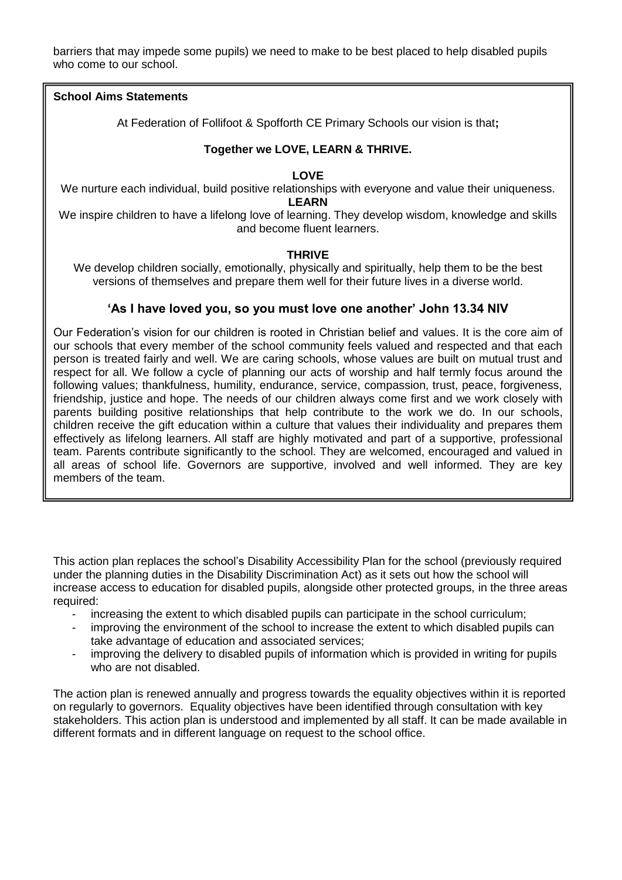barriers that may impede some pupils) we need to make to be best placed to help disabled pupils who come to our school.

#### **School Aims Statements**

At Federation of Follifoot & Spofforth CE Primary Schools our vision is that**;**

#### **Together we LOVE, LEARN & THRIVE.**

#### **LOVE**

We nurture each individual, build positive relationships with everyone and value their uniqueness. **LEARN**

We inspire children to have a lifelong love of learning. They develop wisdom, knowledge and skills and become fluent learners.

#### **THRIVE**

We develop children socially, emotionally, physically and spiritually, help them to be the best versions of themselves and prepare them well for their future lives in a diverse world.

#### **'As I have loved you, so you must love one another' John 13.34 NIV**

Our Federation's vision for our children is rooted in Christian belief and values. It is the core aim of our schools that every member of the school community feels valued and respected and that each person is treated fairly and well. We are caring schools, whose values are built on mutual trust and respect for all. We follow a cycle of planning our acts of worship and half termly focus around the following values; thankfulness, humility, endurance, service, compassion, trust, peace, forgiveness, friendship, justice and hope. The needs of our children always come first and we work closely with parents building positive relationships that help contribute to the work we do. In our schools, children receive the gift education within a culture that values their individuality and prepares them effectively as lifelong learners. All staff are highly motivated and part of a supportive, professional team. Parents contribute significantly to the school. They are welcomed, encouraged and valued in all areas of school life. Governors are supportive, involved and well informed. They are key members of the team.

This action plan replaces the school's Disability Accessibility Plan for the school (previously required under the planning duties in the Disability Discrimination Act) as it sets out how the school will increase access to education for disabled pupils, alongside other protected groups, in the three areas required:

- increasing the extent to which disabled pupils can participate in the school curriculum;
- improving the environment of the school to increase the extent to which disabled pupils can take advantage of education and associated services;
- improving the delivery to disabled pupils of information which is provided in writing for pupils who are not disabled.

The action plan is renewed annually and progress towards the equality objectives within it is reported on regularly to governors. Equality objectives have been identified through consultation with key stakeholders. This action plan is understood and implemented by all staff. It can be made available in different formats and in different language on request to the school office.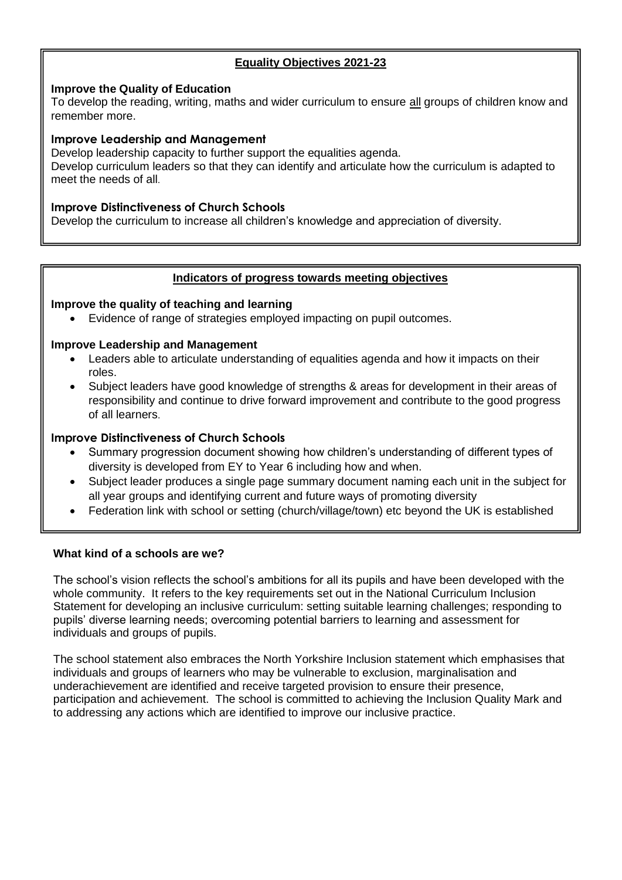## **Equality Objectives 2021-23**

#### **Improve the Quality of Education**

To develop the reading, writing, maths and wider curriculum to ensure all groups of children know and remember more.

#### **Improve Leadership and Management**

Develop leadership capacity to further support the equalities agenda. Develop curriculum leaders so that they can identify and articulate how the curriculum is adapted to meet the needs of all.

#### **Improve Distinctiveness of Church Schools**

Develop the curriculum to increase all children's knowledge and appreciation of diversity.

#### **Indicators of progress towards meeting objectives**

#### **Improve the quality of teaching and learning**

• Evidence of range of strategies employed impacting on pupil outcomes.

#### **Improve Leadership and Management**

- Leaders able to articulate understanding of equalities agenda and how it impacts on their roles.
- Subject leaders have good knowledge of strengths & areas for development in their areas of responsibility and continue to drive forward improvement and contribute to the good progress of all learners.

#### **Improve Distinctiveness of Church Schools**

- Summary progression document showing how children's understanding of different types of diversity is developed from EY to Year 6 including how and when.
- Subject leader produces a single page summary document naming each unit in the subject for all year groups and identifying current and future ways of promoting diversity
- Federation link with school or setting (church/village/town) etc beyond the UK is established

#### **What kind of a schools are we?**

The school's vision reflects the school's ambitions for all its pupils and have been developed with the whole community. It refers to the key requirements set out in the National Curriculum Inclusion Statement for developing an inclusive curriculum: setting suitable learning challenges; responding to pupils' diverse learning needs; overcoming potential barriers to learning and assessment for individuals and groups of pupils.

The school statement also embraces the North Yorkshire Inclusion statement which emphasises that individuals and groups of learners who may be vulnerable to exclusion, marginalisation and underachievement are identified and receive targeted provision to ensure their presence, participation and achievement. The school is committed to achieving the Inclusion Quality Mark and to addressing any actions which are identified to improve our inclusive practice.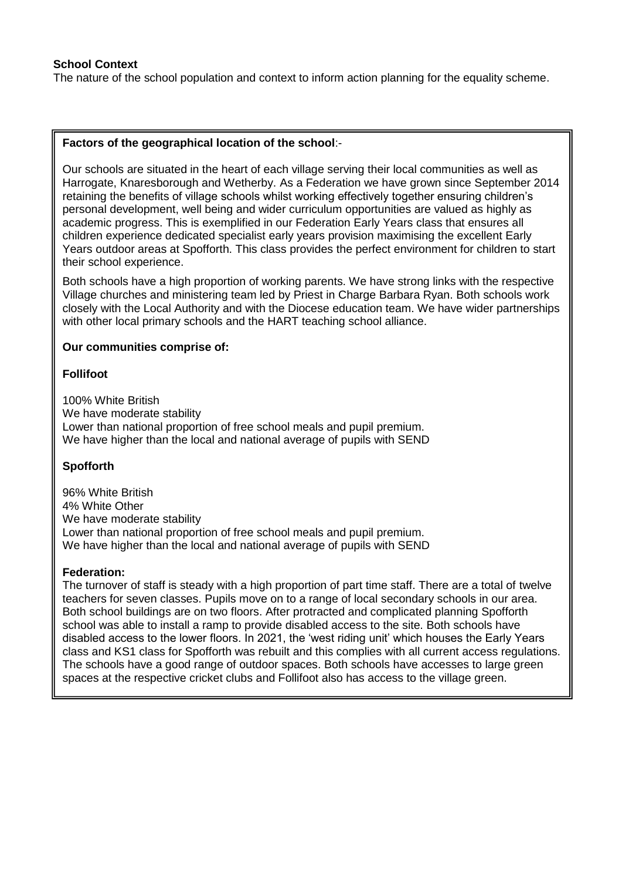#### **School Context**

The nature of the school population and context to inform action planning for the equality scheme.

#### **Factors of the geographical location of the school**:-

Our schools are situated in the heart of each village serving their local communities as well as Harrogate, Knaresborough and Wetherby. As a Federation we have grown since September 2014 retaining the benefits of village schools whilst working effectively together ensuring children's personal development, well being and wider curriculum opportunities are valued as highly as academic progress. This is exemplified in our Federation Early Years class that ensures all children experience dedicated specialist early years provision maximising the excellent Early Years outdoor areas at Spofforth. This class provides the perfect environment for children to start their school experience.

Both schools have a high proportion of working parents. We have strong links with the respective Village churches and ministering team led by Priest in Charge Barbara Ryan. Both schools work closely with the Local Authority and with the Diocese education team. We have wider partnerships with other local primary schools and the HART teaching school alliance.

#### **Our communities comprise of:**

#### **Follifoot**

100% White British We have moderate stability Lower than national proportion of free school meals and pupil premium. We have higher than the local and national average of pupils with SEND

#### **Spofforth**

96% White British 4% White Other We have moderate stability Lower than national proportion of free school meals and pupil premium. We have higher than the local and national average of pupils with SEND

#### **Federation:**

The turnover of staff is steady with a high proportion of part time staff. There are a total of twelve teachers for seven classes. Pupils move on to a range of local secondary schools in our area. Both school buildings are on two floors. After protracted and complicated planning Spofforth school was able to install a ramp to provide disabled access to the site. Both schools have disabled access to the lower floors. In 2021, the 'west riding unit' which houses the Early Years class and KS1 class for Spofforth was rebuilt and this complies with all current access regulations. The schools have a good range of outdoor spaces. Both schools have accesses to large green spaces at the respective cricket clubs and Follifoot also has access to the village green.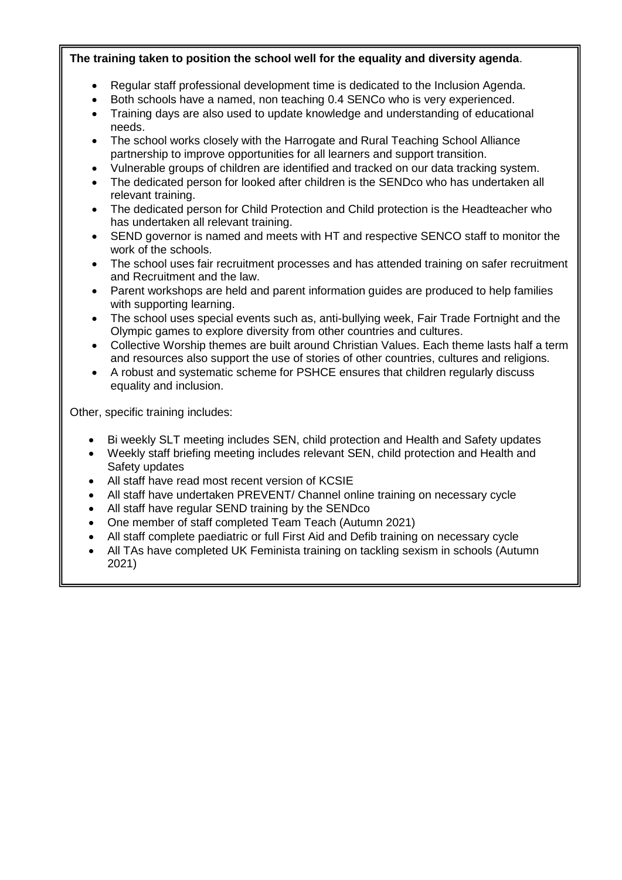## **The training taken to position the school well for the equality and diversity agenda**.

- Regular staff professional development time is dedicated to the Inclusion Agenda.
- Both schools have a named, non teaching 0.4 SENCo who is very experienced.
- Training days are also used to update knowledge and understanding of educational needs.
- The school works closely with the Harrogate and Rural Teaching School Alliance partnership to improve opportunities for all learners and support transition.
- Vulnerable groups of children are identified and tracked on our data tracking system.
- The dedicated person for looked after children is the SENDco who has undertaken all relevant training.
- The dedicated person for Child Protection and Child protection is the Headteacher who has undertaken all relevant training.
- SEND governor is named and meets with HT and respective SENCO staff to monitor the work of the schools.
- The school uses fair recruitment processes and has attended training on safer recruitment and Recruitment and the law.
- Parent workshops are held and parent information guides are produced to help families with supporting learning.
- The school uses special events such as, anti-bullying week, Fair Trade Fortnight and the Olympic games to explore diversity from other countries and cultures.
- Collective Worship themes are built around Christian Values. Each theme lasts half a term and resources also support the use of stories of other countries, cultures and religions.
- A robust and systematic scheme for PSHCE ensures that children regularly discuss equality and inclusion.

Other, specific training includes:

- Bi weekly SLT meeting includes SEN, child protection and Health and Safety updates
- Weekly staff briefing meeting includes relevant SEN, child protection and Health and Safety updates
- All staff have read most recent version of KCSIE
- All staff have undertaken PREVENT/ Channel online training on necessary cycle
- All staff have regular SEND training by the SENDco
- One member of staff completed Team Teach (Autumn 2021)
- All staff complete paediatric or full First Aid and Defib training on necessary cycle
- All TAs have completed UK Feminista training on tackling sexism in schools (Autumn 2021)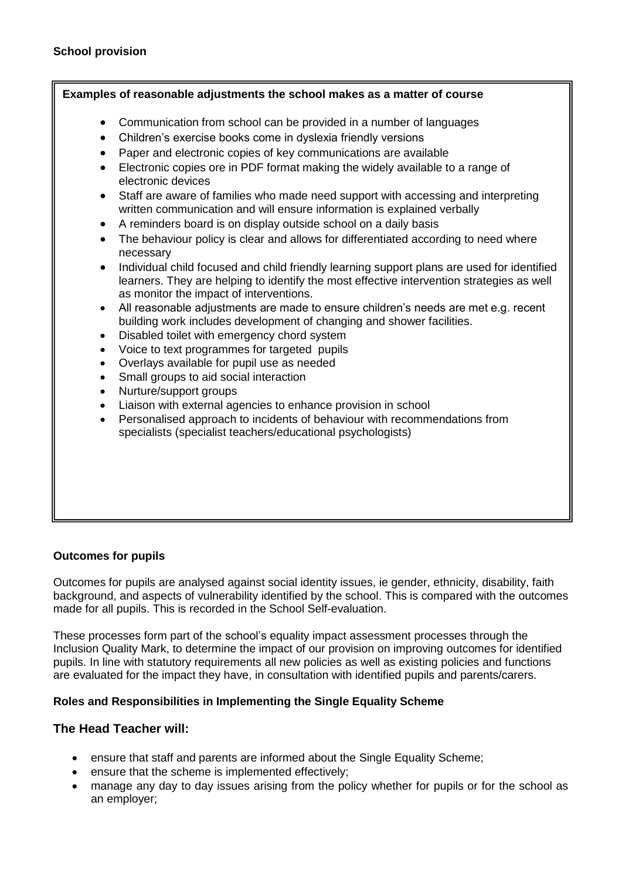#### **Examples of reasonable adjustments the school makes as a matter of course**

- Communication from school can be provided in a number of languages
- Children's exercise books come in dyslexia friendly versions
- Paper and electronic copies of key communications are available
- Electronic copies ore in PDF format making the widely available to a range of electronic devices
- Staff are aware of families who made need support with accessing and interpreting written communication and will ensure information is explained verbally
- A reminders board is on display outside school on a daily basis
- The behaviour policy is clear and allows for differentiated according to need where necessary
- Individual child focused and child friendly learning support plans are used for identified learners. They are helping to identify the most effective intervention strategies as well as monitor the impact of interventions.
- All reasonable adjustments are made to ensure children's needs are met e.g. recent building work includes development of changing and shower facilities.
- Disabled toilet with emergency chord system
- Voice to text programmes for targeted pupils
- Overlays available for pupil use as needed
- Small groups to aid social interaction
- Nurture/support groups
- Liaison with external agencies to enhance provision in school
- Personalised approach to incidents of behaviour with recommendations from specialists (specialist teachers/educational psychologists)

#### **Outcomes for pupils**

Outcomes for pupils are analysed against social identity issues, ie gender, ethnicity, disability, faith background, and aspects of vulnerability identified by the school. This is compared with the outcomes made for all pupils. This is recorded in the School Self-evaluation.

These processes form part of the school's equality impact assessment processes through the Inclusion Quality Mark, to determine the impact of our provision on improving outcomes for identified pupils. In line with statutory requirements all new policies as well as existing policies and functions are evaluated for the impact they have, in consultation with identified pupils and parents/carers.

#### **Roles and Responsibilities in Implementing the Single Equality Scheme**

#### **The Head Teacher will:**

- ensure that staff and parents are informed about the Single Equality Scheme;
- ensure that the scheme is implemented effectively;
- manage any day to day issues arising from the policy whether for pupils or for the school as an employer;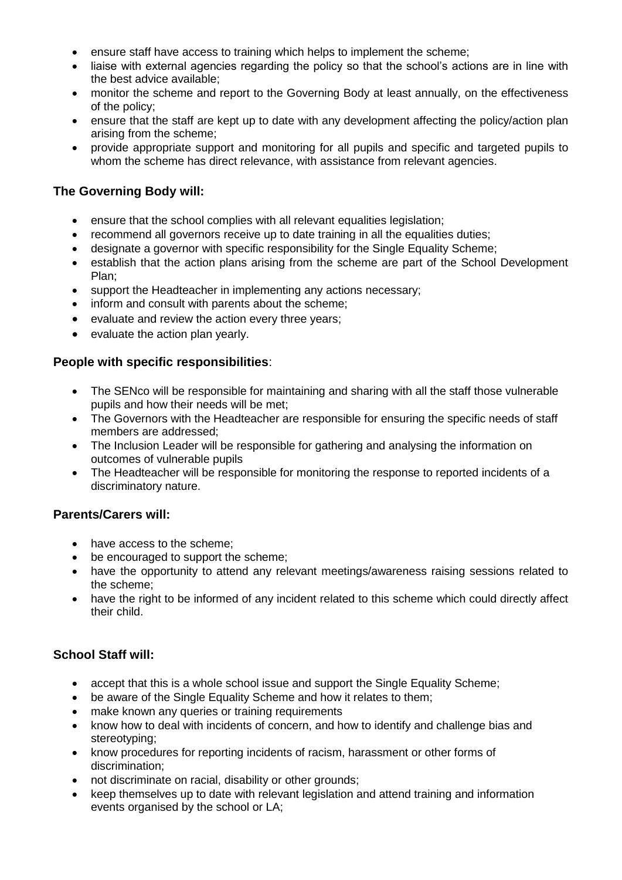- ensure staff have access to training which helps to implement the scheme;
- liaise with external agencies regarding the policy so that the school's actions are in line with the best advice available;
- monitor the scheme and report to the Governing Body at least annually, on the effectiveness of the policy;
- ensure that the staff are kept up to date with any development affecting the policy/action plan arising from the scheme;
- provide appropriate support and monitoring for all pupils and specific and targeted pupils to whom the scheme has direct relevance, with assistance from relevant agencies.

## **The Governing Body will:**

- ensure that the school complies with all relevant equalities legislation;
- recommend all governors receive up to date training in all the equalities duties;
- designate a governor with specific responsibility for the Single Equality Scheme:
- establish that the action plans arising from the scheme are part of the School Development Plan;
- support the Headteacher in implementing any actions necessary;
- inform and consult with parents about the scheme;
- evaluate and review the action every three years;
- evaluate the action plan yearly.

## **People with specific responsibilities**:

- The SENco will be responsible for maintaining and sharing with all the staff those vulnerable pupils and how their needs will be met;
- The Governors with the Headteacher are responsible for ensuring the specific needs of staff members are addressed;
- The Inclusion Leader will be responsible for gathering and analysing the information on outcomes of vulnerable pupils
- The Headteacher will be responsible for monitoring the response to reported incidents of a discriminatory nature.

## **Parents/Carers will:**

- have access to the scheme:
- be encouraged to support the scheme:
- have the opportunity to attend any relevant meetings/awareness raising sessions related to the scheme;
- have the right to be informed of any incident related to this scheme which could directly affect their child.

## **School Staff will:**

- accept that this is a whole school issue and support the Single Equality Scheme;
- be aware of the Single Equality Scheme and how it relates to them;
- make known any queries or training requirements
- know how to deal with incidents of concern, and how to identify and challenge bias and stereotyping;
- know procedures for reporting incidents of racism, harassment or other forms of discrimination;
- not discriminate on racial, disability or other grounds;
- keep themselves up to date with relevant legislation and attend training and information events organised by the school or LA;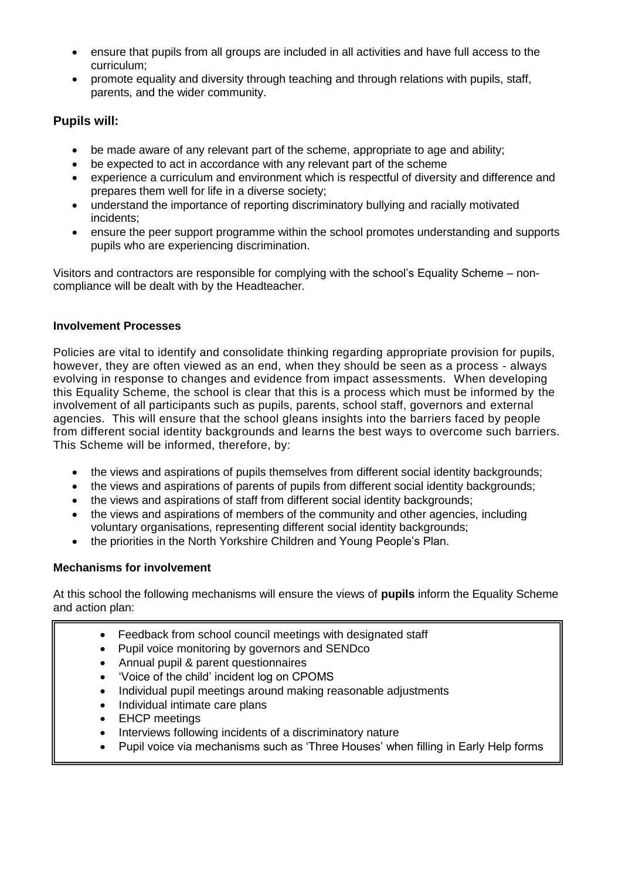- ensure that pupils from all groups are included in all activities and have full access to the curriculum;
- promote equality and diversity through teaching and through relations with pupils, staff, parents, and the wider community.

## **Pupils will:**

- be made aware of any relevant part of the scheme, appropriate to age and ability;
- be expected to act in accordance with any relevant part of the scheme
- experience a curriculum and environment which is respectful of diversity and difference and prepares them well for life in a diverse society;
- understand the importance of reporting discriminatory bullying and racially motivated incidents;
- ensure the peer support programme within the school promotes understanding and supports pupils who are experiencing discrimination.

Visitors and contractors are responsible for complying with the school's Equality Scheme – noncompliance will be dealt with by the Headteacher.

## **Involvement Processes**

Policies are vital to identify and consolidate thinking regarding appropriate provision for pupils, however, they are often viewed as an end, when they should be seen as a process - always evolving in response to changes and evidence from impact assessments. When developing this Equality Scheme, the school is clear that this is a process which must be informed by the involvement of all participants such as pupils, parents, school staff, governors and external agencies. This will ensure that the school gleans insights into the barriers faced by people from different social identity backgrounds and learns the best ways to overcome such barriers. This Scheme will be informed, therefore, by:

- the views and aspirations of pupils themselves from different social identity backgrounds;
- the views and aspirations of parents of pupils from different social identity backgrounds;
- the views and aspirations of staff from different social identity backgrounds;
- the views and aspirations of members of the community and other agencies, including voluntary organisations, representing different social identity backgrounds;
- the priorities in the North Yorkshire Children and Young People's Plan.

## **Mechanisms for involvement**

At this school the following mechanisms will ensure the views of **pupils** inform the Equality Scheme and action plan:

- Feedback from school council meetings with designated staff
- Pupil voice monitoring by governors and SENDco
- Annual pupil & parent questionnaires
- 'Voice of the child' incident log on CPOMS
- Individual pupil meetings around making reasonable adjustments
- Individual intimate care plans
- **EHCP** meetings
- Interviews following incidents of a discriminatory nature
- Pupil voice via mechanisms such as 'Three Houses' when filling in Early Help forms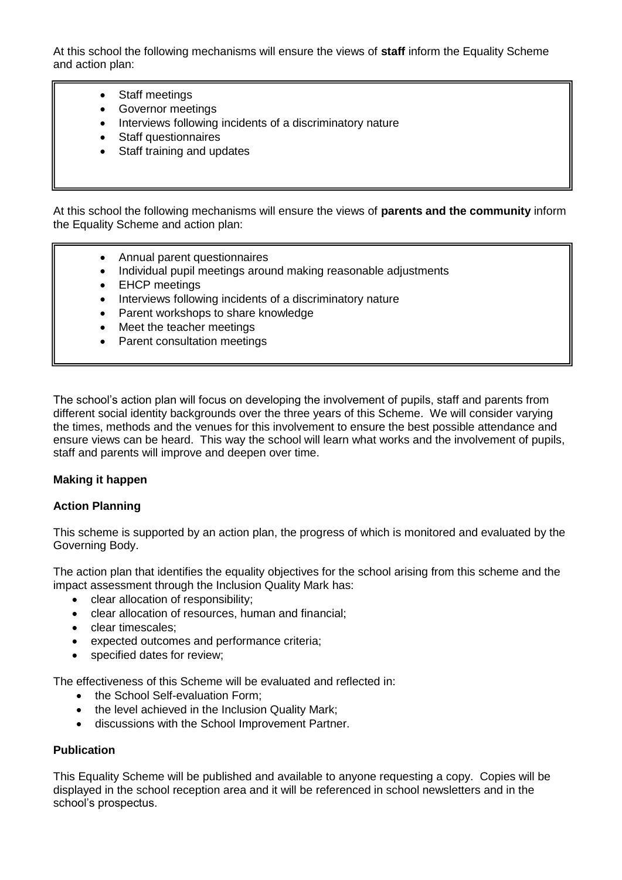At this school the following mechanisms will ensure the views of **staff** inform the Equality Scheme and action plan:

- Staff meetings
- Governor meetings
- Interviews following incidents of a discriminatory nature
- Staff questionnaires
- Staff training and updates

At this school the following mechanisms will ensure the views of **parents and the community** inform the Equality Scheme and action plan:

- Annual parent questionnaires
- Individual pupil meetings around making reasonable adjustments
- **EHCP** meetings
- Interviews following incidents of a discriminatory nature
- Parent workshops to share knowledge
- Meet the teacher meetings
- Parent consultation meetings

The school's action plan will focus on developing the involvement of pupils, staff and parents from different social identity backgrounds over the three years of this Scheme. We will consider varying the times, methods and the venues for this involvement to ensure the best possible attendance and ensure views can be heard. This way the school will learn what works and the involvement of pupils, staff and parents will improve and deepen over time.

#### **Making it happen**

#### **Action Planning**

This scheme is supported by an action plan, the progress of which is monitored and evaluated by the Governing Body.

The action plan that identifies the equality objectives for the school arising from this scheme and the impact assessment through the Inclusion Quality Mark has:

- clear allocation of responsibility;
- clear allocation of resources, human and financial;
- clear timescales;
- expected outcomes and performance criteria;
- specified dates for review:

The effectiveness of this Scheme will be evaluated and reflected in:

- the School Self-evaluation Form:
- the level achieved in the Inclusion Quality Mark;
- discussions with the School Improvement Partner.

#### **Publication**

This Equality Scheme will be published and available to anyone requesting a copy. Copies will be displayed in the school reception area and it will be referenced in school newsletters and in the school's prospectus.